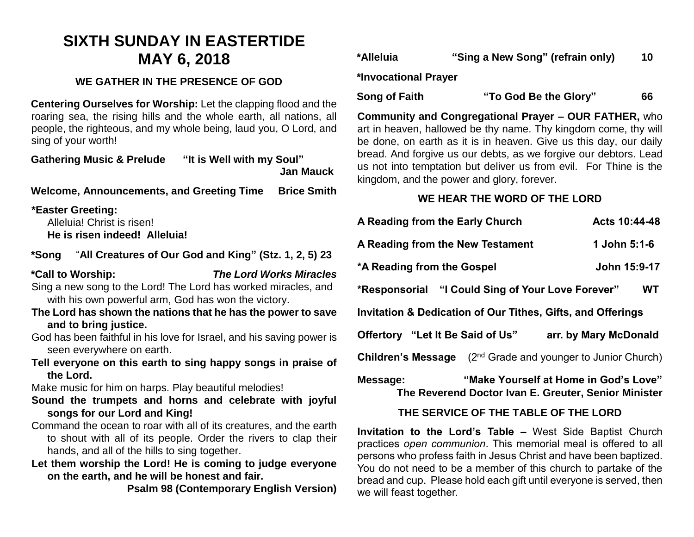# **SIXTH SUNDAY IN EASTERTIDE MAY 6, 2018**

# **WE GATHER IN THE PRESENCE OF GOD**

**Centering Ourselves for Worship:** Let the clapping flood and the roaring sea, the rising hills and the whole earth, all nations, all people, the righteous, and my whole being, laud you, O Lord, and sing of your worth!

**Gathering Music & Prelude "It is Well with my Soul" Jan Mauck**

**Welcome, Announcements, and Greeting Time Brice Smith**

## **\*Easter Greeting:**

Alleluia! Christ is risen! **He is risen indeed! Alleluia!**

# **\*Song** "**All Creatures of Our God and King" (Stz. 1, 2, 5) 23**

## **\*Call to Worship:** *The Lord Works Miracles*

Sing a new song to the Lord! The Lord has worked miracles, and with his own powerful arm, God has won the victory.

- **The Lord has shown the nations that he has the power to save and to bring justice.**
- God has been faithful in his love for Israel, and his saving power is seen everywhere on earth.
- **Tell everyone on this earth to sing happy songs in praise of the Lord.**

Make music for him on harps. Play beautiful melodies!

- **Sound the trumpets and horns and celebrate with joyful songs for our Lord and King!**
- Command the ocean to roar with all of its creatures, and the earth to shout with all of its people. Order the rivers to clap their hands, and all of the hills to sing together.
- **Let them worship the Lord! He is coming to judge everyone on the earth, and he will be honest and fair.**

**Psalm 98 (Contemporary English Version)**

| *Alleluia | "Sing a New Song" (refrain only) | 10 |
|-----------|----------------------------------|----|
|-----------|----------------------------------|----|

**\*Invocational Prayer**

# **Song of Faith "To God Be the Glory" 66**

**Community and Congregational Prayer – OUR FATHER,** who art in heaven, hallowed be thy name. Thy kingdom come, thy will be done, on earth as it is in heaven. Give us this day, our daily bread. And forgive us our debts, as we forgive our debtors. Lead us not into temptation but deliver us from evil. For Thine is the kingdom, and the power and glory, forever.

# **WE HEAR THE WORD OF THE LORD**

| A Reading from the Early Church                                                                           |                                                                                | Acts 10:44-48         |  |  |
|-----------------------------------------------------------------------------------------------------------|--------------------------------------------------------------------------------|-----------------------|--|--|
| A Reading from the New Testament                                                                          |                                                                                | 1 John 5:1-6          |  |  |
| *A Reading from the Gospel                                                                                |                                                                                | John 15:9-17          |  |  |
| *Responsorial "I Could Sing of Your Love Forever"                                                         |                                                                                | <b>WT</b>             |  |  |
| <b>Invitation &amp; Dedication of Our Tithes, Gifts, and Offerings</b>                                    |                                                                                |                       |  |  |
| Offertory "Let It Be Said of Us"                                                                          |                                                                                | arr. by Mary McDonald |  |  |
|                                                                                                           | <b>Children's Message</b> (2 <sup>nd</sup> Grade and younger to Junior Church) |                       |  |  |
| "Make Yourself at Home in God's Love"<br>Message:<br>The Reverend Doctor Ivan E. Greuter, Senior Minister |                                                                                |                       |  |  |

# **THE SERVICE OF THE TABLE OF THE LORD**

**Invitation to the Lord's Table –** West Side Baptist Church practices *open communion*. This memorial meal is offered to all persons who profess faith in Jesus Christ and have been baptized. You do not need to be a member of this church to partake of the bread and cup. Please hold each gift until everyone is served, then we will feast together.